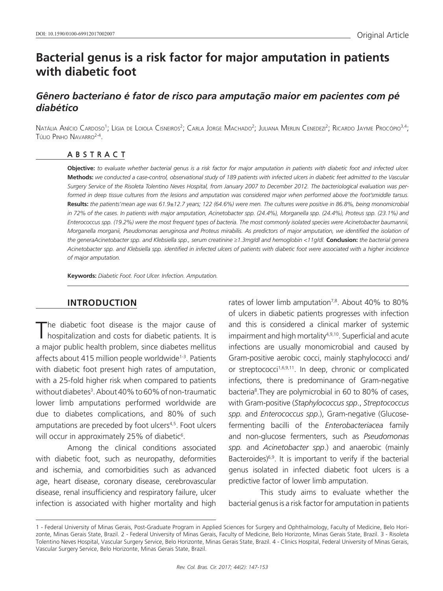# **Bacterial genus is a risk factor for major amputation in patients with diabetic foot**

## *Gênero bacteriano é fator de risco para amputação maior em pacientes com pé diabético*

Natália Anício Cardoso<sup>1</sup>; Lígia de Loiola Cisneiros<sup>2</sup>; Carla Jorge Machado<sup>2</sup>; Juliana Merlin Cenedezi<sup>2</sup>; Ricardo Jayme Procópio<sup>3,4</sup>; Túlio Pinho Navarro<sup>2-4</sup>.

#### ABSTRACT

**Objective:** *to evaluate whether bacterial genus is a risk factor for major amputation in patients with diabetic foot and infected ulcer.* **Methods:** *we conducted a case-control, observational study of 189 patients with infected ulcers in diabetic feet admitted to the Vascular Surgery Service of the Risoleta Tolentino Neves Hospital, from January 2007 to December 2012. The bacteriological evaluation was performed in deep tissue cultures from the lesions and amputation was considered major when performed above the foot'smiddle tarsus.* **Results:** *the patients'mean age was 61.9±12.7 years; 122 (64.6%) were men. The cultures were positive in 86.8%, being monomicrobial in 72% of the cases. In patients with major amputation, Acinetobacter spp. (24.4%), Morganella spp. (24.4%), Proteus spp. (23.1%) and Enterococcus spp. (19.2%) were the most frequent types of bacteria. The most commonly isolated species were Acinetobacter baumannii, Morganella morganii, Pseudomonas aeruginosa and Proteus mirabilis. As predictors of major amputation, we identified the isolation of the generaAcinetobacter spp. and Klebsiella spp., serum creatinine* ≥*1.3mg/dl and hemoglobin <11g/dl.* **Conclusion:** *the bacterial genera Acinetobacter spp. and Klebsiella spp. identified in infected ulcers of patients with diabetic foot were associated with a higher incidence of major amputation.*

**Keywords:** *Diabetic Foot. Foot Ulcer. Infection. Amputation.*

#### **INTRODUCTION**

The diabetic foot disease is the major cause of hospitalization and costs for diabetic patients. It is a major public health problem, since diabetes mellitus affects about 415 million people worldwide<sup>1-3</sup>. Patients with diabetic foot present high rates of amputation, with a 25-fold higher risk when compared to patients without diabetes<sup>3</sup>. About 40% to 60% of non-traumatic lower limb amputations performed worldwide are due to diabetes complications, and 80% of such amputations are preceded by foot ulcers<sup>4,5</sup>. Foot ulcers will occur in approximately 25% of diabetic<sup>6</sup>.

Among the clinical conditions associated with diabetic foot, such as neuropathy, deformities and ischemia, and comorbidities such as advanced age, heart disease, coronary disease, cerebrovascular disease, renal insufficiency and respiratory failure, ulcer infection is associated with higher mortality and high

rates of lower limb amputation<sup>7,8</sup>. About 40% to 80% of ulcers in diabetic patients progresses with infection and this is considered a clinical marker of systemic impairment and high mortality $4,9,10$ . Superficial and acute infections are usually monomicrobial and caused by Gram-positive aerobic cocci, mainly staphylococci and/ or streptococci<sup>1,6,9,11</sup>. In deep, chronic or complicated infections, there is predominance of Gram-negative bacteria<sup>8</sup>. They are polymicrobial in 60 to 80% of cases, with Gram-positive (*Staphylococcus spp*., *Streptococcus spp.* and *Enterococcus spp*.), Gram-negative (Glucosefermenting bacilli of the *Enterobacteriacea* family and non-glucose fermenters, such as *Pseudomonas spp.* and *Acinetobacter spp*.) and anaerobic (mainly Bacteroides)<sup>6,9</sup>. It is important to verify if the bacterial genus isolated in infected diabetic foot ulcers is a predictive factor of lower limb amputation.

This study aims to evaluate whether the bacterial genus is a risk factor for amputation in patients

<sup>1 -</sup> Federal University of Minas Gerais, Post-Graduate Program in Applied Sciences for Surgery and Ophthalmology, Faculty of Medicine, Belo Horizonte, Minas Gerais State, Brazil. 2 - Federal University of Minas Gerais, Faculty of Medicine, Belo Horizonte, Minas Gerais State, Brazil. 3 - Risoleta Tolentino Neves Hospital, Vascular Surgery Service, Belo Horizonte, Minas Gerais State, Brazil. 4 - Clinics Hospital, Federal University of Minas Gerais, Vascular Surgery Service, Belo Horizonte, Minas Gerais State, Brazil.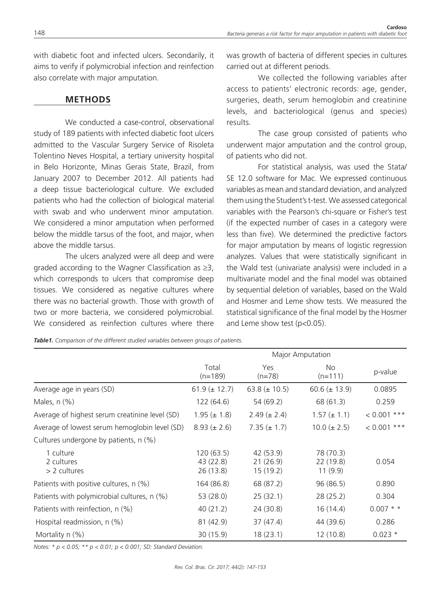with diabetic foot and infected ulcers. Secondarily, it aims to verify if polymicrobial infection and reinfection also correlate with major amputation.

#### **METHODS**

We conducted a case-control, observational study of 189 patients with infected diabetic foot ulcers admitted to the Vascular Surgery Service of Risoleta Tolentino Neves Hospital, a tertiary university hospital in Belo Horizonte, Minas Gerais State, Brazil, from January 2007 to December 2012. All patients had a deep tissue bacteriological culture. We excluded patients who had the collection of biological material with swab and who underwent minor amputation. We considered a minor amputation when performed below the middle tarsus of the foot, and major, when above the middle tarsus.

The ulcers analyzed were all deep and were graded according to the Wagner Classification as ≥3, which corresponds to ulcers that compromise deep tissues. We considered as negative cultures where there was no bacterial growth. Those with growth of two or more bacteria, we considered polymicrobial. We considered as reinfection cultures where there was growth of bacteria of different species in cultures carried out at different periods.

We collected the following variables after access to patients' electronic records: age, gender, surgeries, death, serum hemoglobin and creatinine levels, and bacteriological (genus and species) results.

The case group consisted of patients who underwent major amputation and the control group, of patients who did not.

For statistical analysis, was used the Stata/ SE 12.0 software for Mac. We expressed continuous variables as mean and standard deviation, and analyzed them using the Student's t-test. We assessed categorical variables with the Pearson's chi-square or Fisher's test (if the expected number of cases in a category were less than five). We determined the predictive factors for major amputation by means of logistic regression analyzes. Values that were statistically significant in the Wald test (univariate analysis) were included in a multivariate model and the final model was obtained by sequential deletion of variables, based on the Wald and Hosmer and Leme show tests. We measured the statistical significance of the final model by the Hosmer and Leme show test (p<0.05).

*Table1. Comparison of the different studied variables between groups of patients.*

|                                                | Major Amputation                   |                                   |                                   |               |
|------------------------------------------------|------------------------------------|-----------------------------------|-----------------------------------|---------------|
|                                                | Total<br>$(n=189)$                 | Yes<br>$(n=78)$                   | No.<br>$(n=111)$                  | p-value       |
| Average age in years (SD)                      | 61.9 $(\pm 12.7)$                  | 63.8 ( $\pm$ 10.5)                | 60.6 ( $\pm$ 13.9)                | 0.0895        |
| Males, $n$ $(\%)$                              | 122 (64.6)                         | 54(69.2)                          | 68(61.3)                          | 0.259         |
| Average of highest serum creatinine level (SD) | $1.95 (\pm 1.8)$                   | $2.49 \ (\pm 2.4)$                | $1.57 (\pm 1.1)$                  | $0.001***$    |
| Average of lowest serum hemoglobin level (SD)  | $8.93 (\pm 2.6)$                   | $7.35 (\pm 1.7)$                  | $10.0 (\pm 2.5)$                  | $< 0.001$ *** |
| Cultures undergone by patients, n (%)          |                                    |                                   |                                   |               |
| 1 culture<br>2 cultures<br>> 2 cultures        | 120(63.5)<br>43 (22.8)<br>26(13.8) | 42 (53.9)<br>21(26.9)<br>15(19.2) | 78 (70.3)<br>22 (19.8)<br>11(9.9) | 0.054         |
| Patients with positive cultures, n (%)         | 164 (86.8)                         | 68 (87.2)                         | 96(86.5)                          | 0.890         |
| Patients with polymicrobial cultures, n (%)    | 53 (28.0)                          | 25(32.1)                          | 28(25.2)                          | 0.304         |
| Patients with reinfection, n (%)               | 40 (21.2)                          | 24 (30.8)                         | 16(14.4)                          | $0.007$ * *   |
| Hospital readmission, n (%)                    | 81 (42.9)                          | 37(47.4)                          | 44 (39.6)                         | 0.286         |
| Mortality $n$ $(\%)$                           | 30(15.9)                           | 18(23.1)                          | 12(10.8)                          | $0.023 *$     |

*Notes: \* p < 0.05; \*\* p < 0.01; p < 0.001; SD: Standard Deviation.*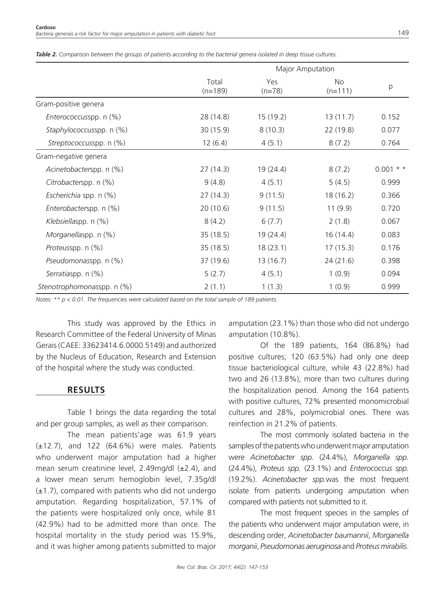|                            | Major Amputation   |                 |                 |             |
|----------------------------|--------------------|-----------------|-----------------|-------------|
|                            | Total<br>$(n=189)$ | Yes<br>$(n=78)$ | No<br>$(n=111)$ | р           |
| Gram-positive genera       |                    |                 |                 |             |
| Enterococcusspp. n (%)     | 28 (14.8)          | 15(19.2)        | 13(11.7)        | 0.152       |
| Staphylococcusspp. n (%)   | 30 (15.9)          | 8(10.3)         | 22 (19.8)       | 0.077       |
| Streptococcusspp. n (%)    | 12(6.4)            | 4(5.1)          | 8(7.2)          | 0.764       |
| Gram-negative genera       |                    |                 |                 |             |
| Acinetobacterspp. n (%)    | 27(14.3)           | 19(24.4)        | 8(7.2)          | $0.001$ * * |
| Citrobacterspp. n (%)      | 9(4.8)             | 4(5.1)          | 5(4.5)          | 0.999       |
| Escherichia spp. n (%)     | 27(14.3)           | 9(11.5)         | 18(16.2)        | 0.366       |
| Enterobacterspp. n (%)     | 20 (10.6)          | 9(11.5)         | 11(9.9)         | 0.720       |
| Klebsiellaspp. n (%)       | 8(4.2)             | 6(7.7)          | 2(1.8)          | 0.067       |
| Morganellaspp. n (%)       | 35(18.5)           | 19(24.4)        | 16(14.4)        | 0.083       |
| Proteusspp. n (%)          | 35(18.5)           | 18(23.1)        | 17(15.3)        | 0.176       |
| Pseudomonasspp. n (%)      | 37 (19.6)          | 13(16.7)        | 24(21.6)        | 0.398       |
| Serratiaspp. n (%)         | 5(2.7)             | 4(5.1)          | 1(0.9)          | 0.094       |
| Stenotrophomonasspp. n (%) | 2(1.1)             | 1(1.3)          | 1(0.9)          | 0.999       |

*Table 2. Comparison between the groups of patients according to the bacterial genera isolated in deep tissue cultures.*

*Notes: \*\* p < 0.01. The frequencies were calculated based on the total sample of 189 patients.*

This study was approved by the Ethics in Research Committee of the Federal University of Minas Gerais (CAEE: 33623414.6.0000.5149) and authorized by the Nucleus of Education, Research and Extension of the hospital where the study was conducted.

#### **RESULTS**

Table 1 brings the data regarding the total and per group samples, as well as their comparison.

The mean patients'age was 61.9 years (±12.7), and 122 (64.6%) were males. Patients who underwent major amputation had a higher mean serum creatinine level, 2.49mg/dl (±2.4), and a lower mean serum hemoglobin level, 7.35g/dl  $(\pm 1.7)$ , compared with patients who did not undergo amputation. Regarding hospitalization, 57.1% of the patients were hospitalized only once, while 81 (42.9%) had to be admitted more than once. The hospital mortality in the study period was 15.9%, and it was higher among patients submitted to major amputation (23.1%) than those who did not undergo amputation (10.8%).

Of the 189 patients, 164 (86.8%) had positive cultures; 120 (63.5%) had only one deep tissue bacteriological culture, while 43 (22.8%) had two and 26 (13.8%), more than two cultures during the hospitalization period. Among the 164 patients with positive cultures, 72% presented monomicrobial cultures and 28%, polymicrobial ones. There was reinfection in 21.2% of patients.

The most commonly isolated bacteria in the samples of the patients who underwent major amputation were *Acinetobacter spp.* (24.4%), *Morganella spp.* (24.4%), *Proteus spp.* (23.1%) and *Enterococcus spp.* (19.2%). *Acinetobacter spp.*was the most frequent isolate from patients undergoing amputation when compared with patients not submitted to it.

The most frequent species in the samples of the patients who underwent major amputation were, in descending order, *Acinetobacter baumannii*, *Morganella morganii*, *Pseudomonas aeruginosa* and *Proteus mirabilis*.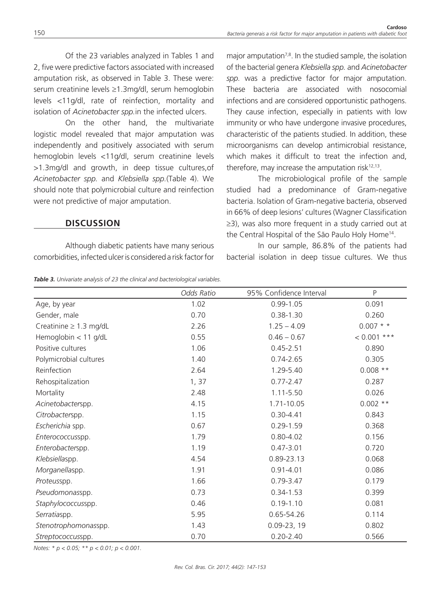Of the 23 variables analyzed in Tables 1 and 2, five were predictive factors associated with increased amputation risk, as observed in Table 3. These were: serum creatinine levels ≥1.3mg/dl, serum hemoglobin levels <11g/dl, rate of reinfection, mortality and isolation of *Acinetobacter spp.*in the infected ulcers.

On the other hand, the multivariate logistic model revealed that major amputation was independently and positively associated with serum hemoglobin levels <11g/dl, serum creatinine levels >1.3mg/dl and growth, in deep tissue cultures,of *Acinetobacter spp.* and *Klebsiella spp.*(Table 4). We should note that polymicrobial culture and reinfection were not predictive of major amputation.

## **DISCUSSION**

Although diabetic patients have many serious comorbidities, infected ulcer is considered a risk factor for major amputation<sup>7,8</sup>. In the studied sample, the isolation of the bacterial genera *Klebsiella spp.* and *Acinetobacter spp.* was a predictive factor for major amputation. These bacteria are associated with nosocomial infections and are considered opportunistic pathogens. They cause infection, especially in patients with low immunity or who have undergone invasive procedures, characteristic of the patients studied. In addition, these microorganisms can develop antimicrobial resistance, which makes it difficult to treat the infection and, therefore, may increase the amputation risk $12,13$ .

The microbiological profile of the sample studied had a predominance of Gram-negative bacteria. Isolation of Gram-negative bacteria, observed in 66% of deep lesions' cultures (Wagner Classification ≥3), was also more frequent in a study carried out at the Central Hospital of the São Paulo Holy Home<sup>14</sup>.

In our sample, 86.8% of the patients had bacterial isolation in deep tissue cultures. We thus

*Table 3. Univariate analysis of 23 the clinical and bacteriological variables.*

|                             | Odds Ratio | 95% Confidence Interval | P             |
|-----------------------------|------------|-------------------------|---------------|
| Age, by year                | 1.02       | $0.99 - 1.05$           | 0.091         |
| Gender, male                | 0.70       | $0.38 - 1.30$           | 0.260         |
| Creatinine $\geq 1.3$ mg/dL | 2.26       | $1.25 - 4.09$           | $0.007$ * *   |
| Hemoglobin < 11 g/dL        | 0.55       | $0.46 - 0.67$           | $< 0.001$ *** |
| Positive cultures           | 1.06       | $0.45 - 2.51$           | 0.890         |
| Polymicrobial cultures      | 1.40       | $0.74 - 2.65$           | 0.305         |
| Reinfection                 | 2.64       | 1.29-5.40               | $0.008**$     |
| Rehospitalization           | 1,37       | $0.77 - 2.47$           | 0.287         |
| Mortality                   | 2.48       | $1.11 - 5.50$           | 0.026         |
| Acinetobacterspp.           | 4.15       | 1.71-10.05              | $0.002$ **    |
| Citrobacterspp.             | 1.15       | $0.30 - 4.41$           | 0.843         |
| Escherichia spp.            | 0.67       | $0.29 - 1.59$           | 0.368         |
| Enterococcusspp.            | 1.79       | $0.80 - 4.02$           | 0.156         |
| Enterobacterspp.            | 1.19       | $0.47 - 3.01$           | 0.720         |
| Klebsiellaspp.              | 4.54       | 0.89-23.13              | 0.068         |
| Morganellaspp.              | 1.91       | $0.91 - 4.01$           | 0.086         |
| Proteusspp.                 | 1.66       | $0.79 - 3.47$           | 0.179         |
| Pseudomonasspp.             | 0.73       | $0.34 - 1.53$           | 0.399         |
| Staphylococcusspp.          | 0.46       | $0.19 - 1.10$           | 0.081         |
| Serratiaspp.                | 5.95       | 0.65-54.26              | 0.114         |
| Stenotrophomonasspp.        | 1.43       | $0.09 - 23, 19$         | 0.802         |
| Streptococcusspp.           | 0.70       | $0.20 - 2.40$           | 0.566         |

*Notes: \* p < 0.05; \*\* p < 0.01; p < 0.001.*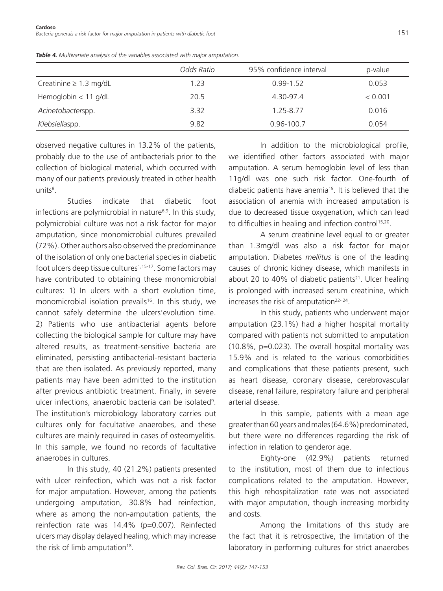|                             | Odds Ratio | 95% confidence interval | p-value |
|-----------------------------|------------|-------------------------|---------|
| Creatinine $\geq 1.3$ mg/dL | 1.23       | $0.99 - 1.52$           | 0.053   |
| Hemoglobin $<$ 11 g/dL      | 20.5       | 4.30-97.4               | < 0.001 |
| Acinetobacterspp.           | 3.32       | 1.25-8.77               | 0.016   |
| Klebsiellaspp.              | 9.82       | 0.96-100.7              | 0.054   |

*Table 4. Multivariate analysis of the variables associated with major amputation.*

observed negative cultures in 13.2% of the patients, probably due to the use of antibacterials prior to the collection of biological material, which occurred with many of our patients previously treated in other health units<sup>8</sup>.

Studies indicate that diabetic foot infections are polymicrobial in nature<sup>6,9</sup>. In this study, polymicrobial culture was not a risk factor for major amputation, since monomicrobial cultures prevailed (72%). Other authors also observed the predominance of the isolation of only one bacterial species in diabetic foot ulcers deep tissue cultures<sup>1,15-17</sup>. Some factors may have contributed to obtaining these monomicrobial cultures: 1) In ulcers with a short evolution time, monomicrobial isolation prevails<sup>16</sup>. In this study, we cannot safely determine the ulcers'evolution time. 2) Patients who use antibacterial agents before collecting the biological sample for culture may have altered results, as treatment-sensitive bacteria are eliminated, persisting antibacterial-resistant bacteria that are then isolated. As previously reported, many patients may have been admitted to the institution after previous antibiotic treatment. Finally, in severe ulcer infections, anaerobic bacteria can be isolated<sup>9</sup>. The institution's microbiology laboratory carries out cultures only for facultative anaerobes, and these cultures are mainly required in cases of osteomyelitis. In this sample, we found no records of facultative anaerobes in cultures.

In this study, 40 (21.2%) patients presented with ulcer reinfection, which was not a risk factor for major amputation. However, among the patients undergoing amputation, 30.8% had reinfection, where as among the non-amputation patients, the reinfection rate was 14.4% (p=0.007). Reinfected ulcers may display delayed healing, which may increase the risk of limb amputation<sup>18</sup>.

In addition to the microbiological profile, we identified other factors associated with major amputation. A serum hemoglobin level of less than 11g/dl was one such risk factor. One-fourth of diabetic patients have anemia<sup>19</sup>. It is believed that the association of anemia with increased amputation is due to decreased tissue oxygenation, which can lead to difficulties in healing and infection control<sup>15,20</sup>.

A serum creatinine level equal to or greater than 1.3mg/dl was also a risk factor for major amputation. Diabetes *mellitus* is one of the leading causes of chronic kidney disease, which manifests in about 20 to 40% of diabetic patients<sup>21</sup>. Ulcer healing is prolonged with increased serum creatinine, which increases the risk of amputation<sup>22-24</sup>.

In this study, patients who underwent major amputation (23.1%) had a higher hospital mortality compared with patients not submitted to amputation (10.8%, p=0.023). The overall hospital mortality was 15.9% and is related to the various comorbidities and complications that these patients present, such as heart disease, coronary disease, cerebrovascular disease, renal failure, respiratory failure and peripheral arterial disease.

In this sample, patients with a mean age greater than 60 years and males (64.6%) predominated, but there were no differences regarding the risk of infection in relation to genderor age.

Eighty-one (42.9%) patients returned to the institution, most of them due to infectious complications related to the amputation. However, this high rehospitalization rate was not associated with major amputation, though increasing morbidity and costs.

Among the limitations of this study are the fact that it is retrospective, the limitation of the laboratory in performing cultures for strict anaerobes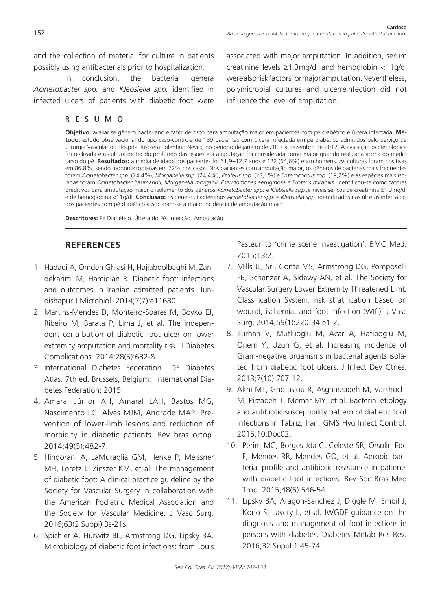and the collection of material for culture in patients possibly using antibacterials prior to hospitalization.

In conclusion, the bacterial genera *Acinetobacter spp.* and *Klebsiella spp.* identified in infected ulcers of patients with diabetic foot were

## RESUMO

associated with major amputation. In addition, serum creatinine levels ≥1.3mg/dl and hemoglobin <11g/dl were also risk factors for major amputation. Nevertheless, polymicrobial cultures and ulcerreinfection did not influence the level of amputation.

**Objetivo:** avaliar se gênero bacteriano é fator de risco para amputação maior em pacientes com pé diabético e úlcera infectada. **Método:** estudo observacional do tipo caso-controle de 189 pacientes com úlcera infectada em pé diabético admitidos pelo Serviço de Cirurgia Vascular do Hospital Risoleta Tolentino Neves, no período de janeiro de 2007 a dezembro de 2012. A avaliação bacteriológica foi realizada em cultura de tecido profundo das lesões e a amputação foi considerada como maior quando realizada acima do médio tarso do pé. **Resultados:** a média de idade dos pacientes foi 61,9±12,7 anos e 122 (64,6%) eram homens. As culturas foram positivas em 86,8%, sendo monomicrobianas em 72% dos casos. Nos pacientes com amputação maior, os gêneros de bactérias mais frequentes foram *Acinetobacter spp.* (24,4%), *Morganella spp.* (24,4%), *Proteus spp.* (23,1%) e *Enterococcus spp.* (19,2%) e as espécies mais isoladas foram *Acinetobacter baumannii, Morganella morganii, Pseudomonas aeruginosa e Proteus mirabilis*. Identificou-se como fatores preditivos para amputação maior o isolamento dos gêneros *Acinetobacter spp.* e *Klebsiella spp.,*e níveis séricos de creatinina ≥1,3mg/dl e de hemoglobina <11g/dl. **Conclusão:** os gêneros bacterianos *Acinetobacter spp. e Klebsiella spp.* identificados nas úlceras infectadas dos pacientes com pé diabético associaram-se a maior incidência de amputação maior.

**Descritores:** Pé Diabético. Úlcera do Pé. Infecção. Amputação.

## **REFERENCES**

- 1. Hadadi A, Omdeh Ghiasi H, Hajiabdolbaghi M, Zandekarimi M, Hamidian R. Diabetic foot: infections and outcomes in Iranian admitted patients. Jundishapur J Microbiol. 2014;7(7):e11680.
- 2. Martins-Mendes D, Monteiro-Soares M, Boyko EJ, Ribeiro M, Barata P, Lima J, et al. The independent contribution of diabetic foot ulcer on lower extremity amputation and mortality risk. J Diabetes Complications. 2014;28(5):632-8.
- 3. International Diabetes Federation. IDF Diabetes Atlas. 7th ed. Brussels, Belgium: International Diabetes Federation; 2015.
- 4. Amaral Júnior AH, Amaral LAH, Bastos MG, Nascimento LC, Alves MJM, Andrade MAP. Prevention of lower-limb lesions and reduction of morbidity in diabetic patients. Rev bras ortop. 2014;49(5):482-7.
- 5. Hingorani A, LaMuraglia GM, Henke P, Meissner MH, Loretz L, Zinszer KM, et al. The management of diabetic foot: A clinical practice guideline by the Society for Vascular Surgery in collaboration with the American Podiatric Medical Association and the Society for Vascular Medicine. J Vasc Surg. 2016;63(2 Suppl):3s-21s.
- 6. Spichler A, Hurwitz BL, Armstrong DG, Lipsky BA. Microbiology of diabetic foot infections: from Louis

Pasteur to 'crime scene investigation'. BMC Med. 2015;13:2.

- 7. Mills JL, Sr., Conte MS, Armstrong DG, Pomposelli FB, Schanzer A, Sidawy AN, et al. The Society for Vascular Surgery Lower Extremity Threatened Limb Classification System: risk stratification based on wound, ischemia, and foot infection (WIfI). J Vasc Surg. 2014;59(1):220-34.e1-2.
- 8. Turhan V, Mutluoglu M, Acar A, Hatipoglu M, Onem Y, Uzun G, et al. Increasing incidence of Gram-negative organisms in bacterial agents isolated from diabetic foot ulcers. J Infect Dev Ctries. 2013;7(10):707-12.
- 9. Akhi MT, Ghotaslou R, Asgharzadeh M, Varshochi M, Pirzadeh T, Memar MY, et al. Bacterial etiology and antibiotic susceptibility pattern of diabetic foot infections in Tabriz, Iran. GMS Hyg Infect Control. 2015;10:Doc02.
- 10. Perim MC, Borges Jda C, Celeste SR, Orsolin Ede F, Mendes RR, Mendes GO, et al. Aerobic bacterial profile and antibiotic resistance in patients with diabetic foot infections. Rev Soc Bras Med Trop. 2015;48(5):546-54.
- 11. Lipsky BA, Aragon-Sanchez J, Diggle M, Embil J, Kono S, Lavery L, et al. IWGDF guidance on the diagnosis and management of foot infections in persons with diabetes. Diabetes Metab Res Rev. 2016;32 Suppl 1:45-74.